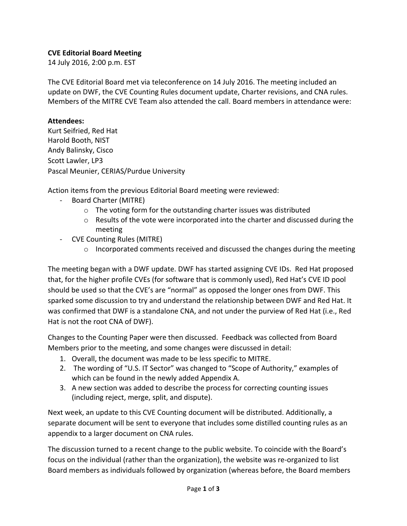## **CVE Editorial Board Meeting**

14 July 2016, 2:00 p.m. EST

The CVE Editorial Board met via teleconference on 14 July 2016. The meeting included an update on DWF, the CVE Counting Rules document update, Charter revisions, and CNA rules. Members of the MITRE CVE Team also attended the call. Board members in attendance were:

## **Attendees:**

Kurt Seifried, Red Hat Harold Booth, NIST Andy Balinsky, Cisco Scott Lawler, LP3 Pascal Meunier, CERIAS/Purdue University

Action items from the previous Editorial Board meeting were reviewed:

- Board Charter (MITRE)
	- $\circ$  The voting form for the outstanding charter issues was distributed
	- $\circ$  Results of the vote were incorporated into the charter and discussed during the meeting
- CVE Counting Rules (MITRE)
	- $\circ$  Incorporated comments received and discussed the changes during the meeting

The meeting began with a DWF update. DWF has started assigning CVE IDs. Red Hat proposed that, for the higher profile CVEs (for software that is commonly used), Red Hat's CVE ID pool should be used so that the CVE's are "normal" as opposed the longer ones from DWF. This sparked some discussion to try and understand the relationship between DWF and Red Hat. It was confirmed that DWF is a standalone CNA, and not under the purview of Red Hat (i.e., Red Hat is not the root CNA of DWF).

Changes to the Counting Paper were then discussed. Feedback was collected from Board Members prior to the meeting, and some changes were discussed in detail:

- 1. Overall, the document was made to be less specific to MITRE.
- 2. The wording of "U.S. IT Sector" was changed to "Scope of Authority," examples of which can be found in the newly added Appendix A.
- 3. A new section was added to describe the process for correcting counting issues (including reject, merge, split, and dispute).

Next week, an update to this CVE Counting document will be distributed. Additionally, a separate document will be sent to everyone that includes some distilled counting rules as an appendix to a larger document on CNA rules.

The discussion turned to a recent change to the public website. To coincide with the Board's focus on the individual (rather than the organization), the website was re-organized to list Board members as individuals followed by organization (whereas before, the Board members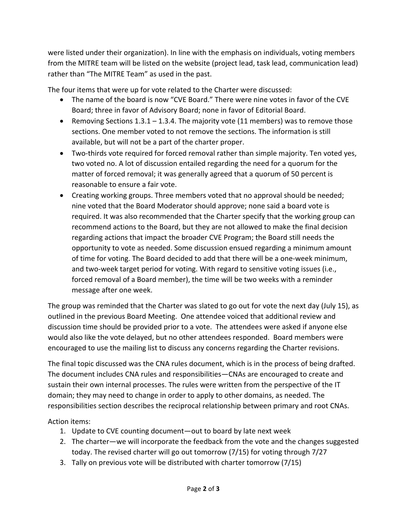were listed under their organization). In line with the emphasis on individuals, voting members from the MITRE team will be listed on the website (project lead, task lead, communication lead) rather than "The MITRE Team" as used in the past.

The four items that were up for vote related to the Charter were discussed:

- The name of the board is now "CVE Board." There were nine votes in favor of the CVE Board; three in favor of Advisory Board; none in favor of Editorial Board.
- Removing Sections  $1.3.1 1.3.4$ . The majority vote (11 members) was to remove those sections. One member voted to not remove the sections. The information is still available, but will not be a part of the charter proper.
- Two-thirds vote required for forced removal rather than simple majority. Ten voted yes, two voted no. A lot of discussion entailed regarding the need for a quorum for the matter of forced removal; it was generally agreed that a quorum of 50 percent is reasonable to ensure a fair vote.
- Creating working groups. Three members voted that no approval should be needed; nine voted that the Board Moderator should approve; none said a board vote is required. It was also recommended that the Charter specify that the working group can recommend actions to the Board, but they are not allowed to make the final decision regarding actions that impact the broader CVE Program; the Board still needs the opportunity to vote as needed. Some discussion ensued regarding a minimum amount of time for voting. The Board decided to add that there will be a one-week minimum, and two-week target period for voting. With regard to sensitive voting issues (i.e., forced removal of a Board member), the time will be two weeks with a reminder message after one week.

The group was reminded that the Charter was slated to go out for vote the next day (July 15), as outlined in the previous Board Meeting. One attendee voiced that additional review and discussion time should be provided prior to a vote. The attendees were asked if anyone else would also like the vote delayed, but no other attendees responded. Board members were encouraged to use the mailing list to discuss any concerns regarding the Charter revisions.

The final topic discussed was the CNA rules document, which is in the process of being drafted. The document includes CNA rules and responsibilities—CNAs are encouraged to create and sustain their own internal processes. The rules were written from the perspective of the IT domain; they may need to change in order to apply to other domains, as needed. The responsibilities section describes the reciprocal relationship between primary and root CNAs.

Action items:

- 1. Update to CVE counting document—out to board by late next week
- 2. The charter—we will incorporate the feedback from the vote and the changes suggested today. The revised charter will go out tomorrow  $(7/15)$  for voting through  $7/27$
- 3. Tally on previous vote will be distributed with charter tomorrow (7/15)